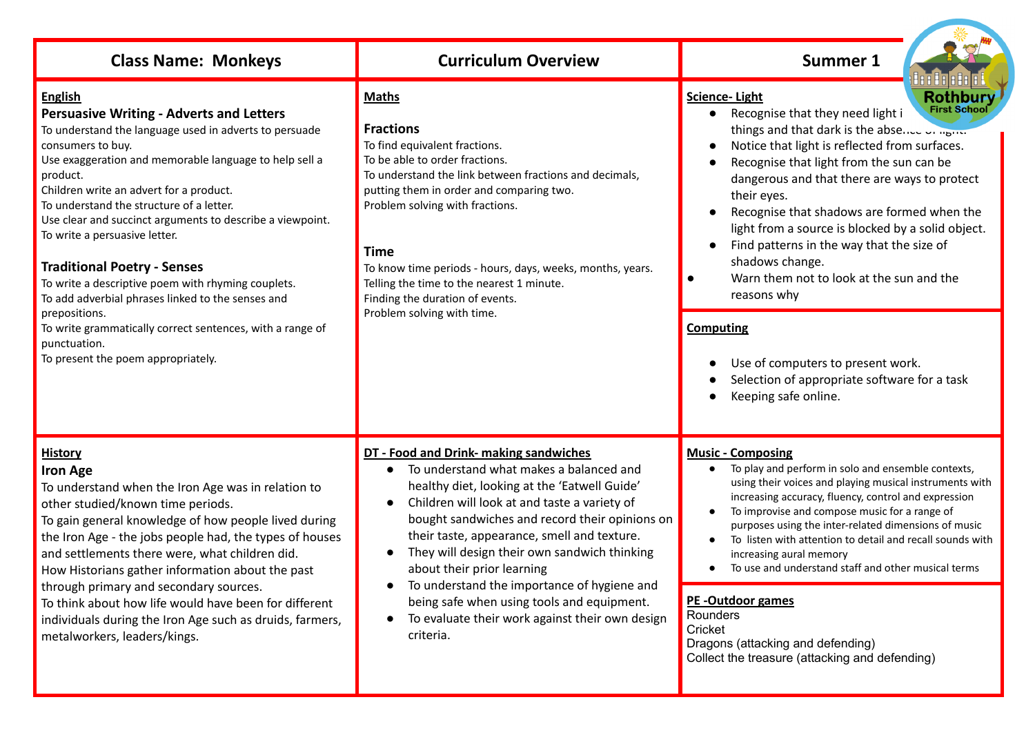| <b>Class Name: Monkeys</b>                                                                                                                                                                                                                                                                                                                                                                                                                                                                                                                                                                                                                                                                       | <b>Curriculum Overview</b>                                                                                                                                                                                                                                                                                                                                                                                                                                                                                                    | <b>Summer 1</b>                                                                                                                                                                                                                                                                                                                                                                                                                                                                                                                                                                                                                                                                    |
|--------------------------------------------------------------------------------------------------------------------------------------------------------------------------------------------------------------------------------------------------------------------------------------------------------------------------------------------------------------------------------------------------------------------------------------------------------------------------------------------------------------------------------------------------------------------------------------------------------------------------------------------------------------------------------------------------|-------------------------------------------------------------------------------------------------------------------------------------------------------------------------------------------------------------------------------------------------------------------------------------------------------------------------------------------------------------------------------------------------------------------------------------------------------------------------------------------------------------------------------|------------------------------------------------------------------------------------------------------------------------------------------------------------------------------------------------------------------------------------------------------------------------------------------------------------------------------------------------------------------------------------------------------------------------------------------------------------------------------------------------------------------------------------------------------------------------------------------------------------------------------------------------------------------------------------|
| <b>English</b><br><b>Persuasive Writing - Adverts and Letters</b><br>To understand the language used in adverts to persuade<br>consumers to buy.<br>Use exaggeration and memorable language to help sell a<br>product.<br>Children write an advert for a product.<br>To understand the structure of a letter.<br>Use clear and succinct arguments to describe a viewpoint.<br>To write a persuasive letter.<br><b>Traditional Poetry - Senses</b><br>To write a descriptive poem with rhyming couplets.<br>To add adverbial phrases linked to the senses and<br>prepositions.<br>To write grammatically correct sentences, with a range of<br>punctuation.<br>To present the poem appropriately. | <b>Maths</b><br><b>Fractions</b><br>To find equivalent fractions.<br>To be able to order fractions.<br>To understand the link between fractions and decimals,<br>putting them in order and comparing two.<br>Problem solving with fractions.<br><b>Time</b><br>To know time periods - hours, days, weeks, months, years.<br>Telling the time to the nearest 1 minute.<br>Finding the duration of events.<br>Problem solving with time.                                                                                        | Rothbury<br><b>Science-Light</b><br><b>First School</b><br>Recognise that they need light i<br>things and that dark is the absence of name<br>Notice that light is reflected from surfaces.<br>Recognise that light from the sun can be<br>dangerous and that there are ways to protect<br>their eyes.<br>Recognise that shadows are formed when the<br>light from a source is blocked by a solid object.<br>Find patterns in the way that the size of<br>shadows change.<br>Warn them not to look at the sun and the<br>$\bullet$<br>reasons why<br><b>Computing</b><br>Use of computers to present work.<br>Selection of appropriate software for a task<br>Keeping safe online. |
| <b>History</b><br><b>Iron Age</b><br>To understand when the Iron Age was in relation to<br>other studied/known time periods.<br>To gain general knowledge of how people lived during<br>the Iron Age - the jobs people had, the types of houses<br>and settlements there were, what children did.<br>How Historians gather information about the past<br>through primary and secondary sources.<br>To think about how life would have been for different<br>individuals during the Iron Age such as druids, farmers,<br>metalworkers, leaders/kings.                                                                                                                                             | DT - Food and Drink- making sandwiches<br>To understand what makes a balanced and<br>healthy diet, looking at the 'Eatwell Guide'<br>Children will look at and taste a variety of<br>bought sandwiches and record their opinions on<br>their taste, appearance, smell and texture.<br>They will design their own sandwich thinking<br>about their prior learning<br>To understand the importance of hygiene and<br>being safe when using tools and equipment.<br>To evaluate their work against their own design<br>criteria. | <b>Music - Composing</b><br>To play and perform in solo and ensemble contexts,<br>using their voices and playing musical instruments with<br>increasing accuracy, fluency, control and expression<br>To improvise and compose music for a range of<br>purposes using the inter-related dimensions of music<br>To listen with attention to detail and recall sounds with<br>increasing aural memory<br>To use and understand staff and other musical terms<br><b>PE-Outdoor games</b><br>Rounders<br>Cricket<br>Dragons (attacking and defending)<br>Collect the treasure (attacking and defending)                                                                                 |